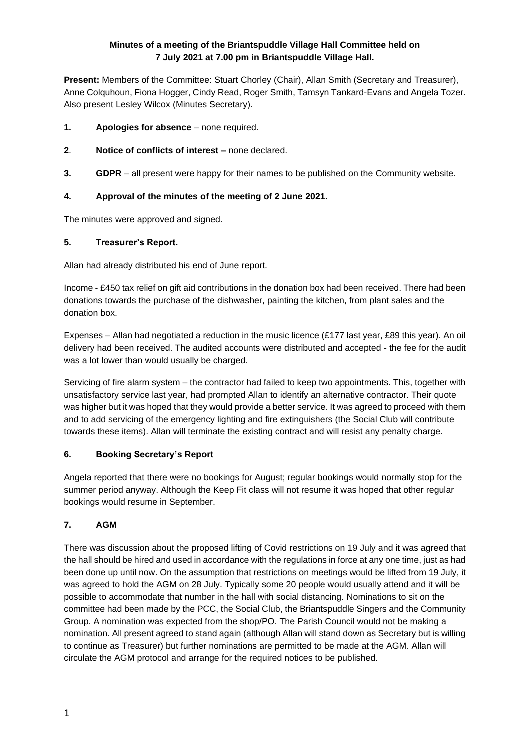# **Minutes of a meeting of the Briantspuddle Village Hall Committee held on 7 July 2021 at 7.00 pm in Briantspuddle Village Hall.**

**Present:** Members of the Committee: Stuart Chorley (Chair), Allan Smith (Secretary and Treasurer), Anne Colquhoun, Fiona Hogger, Cindy Read, Roger Smith, Tamsyn Tankard-Evans and Angela Tozer. Also present Lesley Wilcox (Minutes Secretary).

- **1. Apologies for absence** none required.
- **2**. **Notice of conflicts of interest –** none declared.
- **3. GDPR** all present were happy for their names to be published on the Community website.

# **4. Approval of the minutes of the meeting of 2 June 2021.**

The minutes were approved and signed.

## **5. Treasurer's Report.**

Allan had already distributed his end of June report.

Income - £450 tax relief on gift aid contributions in the donation box had been received. There had been donations towards the purchase of the dishwasher, painting the kitchen, from plant sales and the donation box.

Expenses – Allan had negotiated a reduction in the music licence (£177 last year, £89 this year). An oil delivery had been received. The audited accounts were distributed and accepted - the fee for the audit was a lot lower than would usually be charged.

Servicing of fire alarm system – the contractor had failed to keep two appointments. This, together with unsatisfactory service last year, had prompted Allan to identify an alternative contractor. Their quote was higher but it was hoped that they would provide a better service. It was agreed to proceed with them and to add servicing of the emergency lighting and fire extinguishers (the Social Club will contribute towards these items). Allan will terminate the existing contract and will resist any penalty charge.

## **6. Booking Secretary's Report**

Angela reported that there were no bookings for August; regular bookings would normally stop for the summer period anyway. Although the Keep Fit class will not resume it was hoped that other regular bookings would resume in September.

# **7. AGM**

There was discussion about the proposed lifting of Covid restrictions on 19 July and it was agreed that the hall should be hired and used in accordance with the regulations in force at any one time, just as had been done up until now. On the assumption that restrictions on meetings would be lifted from 19 July, it was agreed to hold the AGM on 28 July. Typically some 20 people would usually attend and it will be possible to accommodate that number in the hall with social distancing. Nominations to sit on the committee had been made by the PCC, the Social Club, the Briantspuddle Singers and the Community Group. A nomination was expected from the shop/PO. The Parish Council would not be making a nomination. All present agreed to stand again (although Allan will stand down as Secretary but is willing to continue as Treasurer) but further nominations are permitted to be made at the AGM. Allan will circulate the AGM protocol and arrange for the required notices to be published.